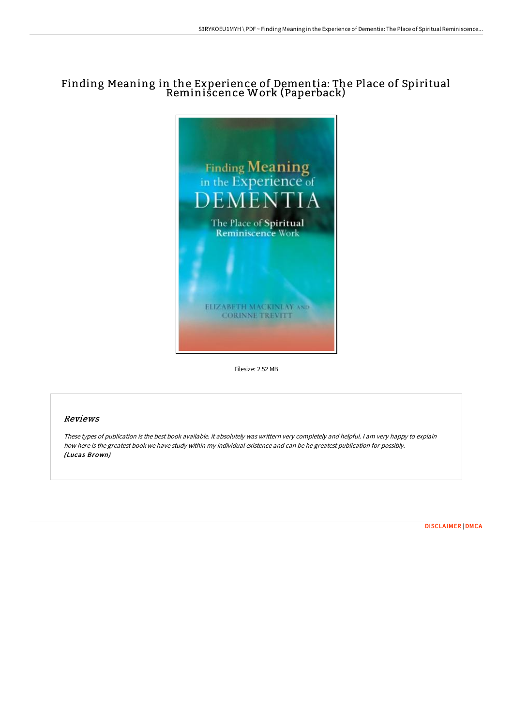## Finding Meaning in the Experience of Dementia: The Place of Spiritual Reminiscence Work (Paperback)



Filesize: 2.52 MB

## Reviews

These types of publication is the best book available. it absolutely was writtern very completely and helpful. I am very happy to explain how here is the greatest book we have study within my individual existence and can be he greatest publication for possibly. (Lucas Brown)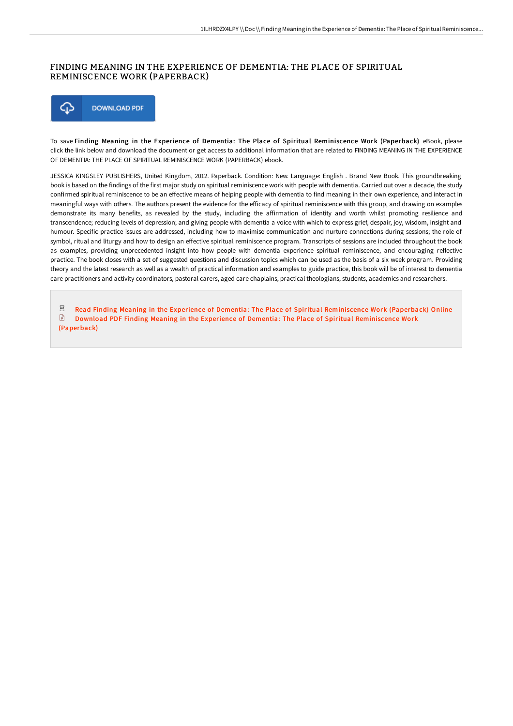## FINDING MEANING IN THE EXPERIENCE OF DEMENTIA: THE PLACE OF SPIRITUAL REMINISCENCE WORK (PAPERBACK)



To save Finding Meaning in the Experience of Dementia: The Place of Spiritual Reminiscence Work (Paperback) eBook, please click the link below and download the document or get access to additional information that are related to FINDING MEANING IN THE EXPERIENCE OF DEMENTIA: THE PLACE OF SPIRITUAL REMINISCENCE WORK (PAPERBACK) ebook.

JESSICA KINGSLEY PUBLISHERS, United Kingdom, 2012. Paperback. Condition: New. Language: English . Brand New Book. This groundbreaking book is based on the findings of the first major study on spiritual reminiscence work with people with dementia. Carried out over a decade, the study confirmed spiritual reminiscence to be an effective means of helping people with dementia to find meaning in their own experience, and interact in meaningful ways with others. The authors present the evidence for the efficacy of spiritual reminiscence with this group, and drawing on examples demonstrate its many benefits, as revealed by the study, including the affirmation of identity and worth whilst promoting resilience and transcendence; reducing levels of depression; and giving people with dementia a voice with which to express grief, despair, joy, wisdom, insight and humour. Specific practice issues are addressed, including how to maximise communication and nurture connections during sessions; the role of symbol, ritual and liturgy and how to design an effective spiritual reminiscence program. Transcripts of sessions are included throughout the book as examples, providing unprecedented insight into how people with dementia experience spiritual reminiscence, and encouraging reflective practice. The book closes with a set of suggested questions and discussion topics which can be used as the basis of a six week program. Providing theory and the latest research as well as a wealth of practical information and examples to guide practice, this book will be of interest to dementia care practitioners and activity coordinators, pastoral carers, aged care chaplains, practical theologians, students, academics and researchers.

 $_{\rm PDF}$ Read Finding Meaning in the Experience of Dementia: The Place of Spiritual [Reminiscence](http://albedo.media/finding-meaning-in-the-experience-of-dementia-th.html) Work (Paperback) Online  $\mathbf{E}$ Download PDF Finding Meaning in the Experience of Dementia: The Place of Spiritual [Reminiscence](http://albedo.media/finding-meaning-in-the-experience-of-dementia-th.html) Work (Paperback)